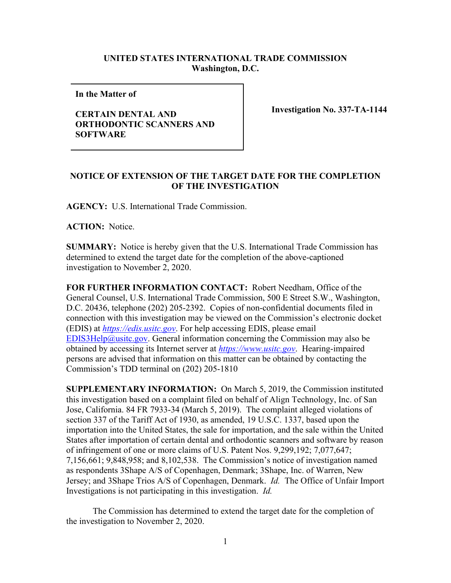## **UNITED STATES INTERNATIONAL TRADE COMMISSION Washington, D.C.**

**In the Matter of** 

## **CERTAIN DENTAL AND ORTHODONTIC SCANNERS AND SOFTWARE**

**Investigation No. 337-TA-1144**

## **NOTICE OF EXTENSION OF THE TARGET DATE FOR THE COMPLETION OF THE INVESTIGATION**

**AGENCY:** U.S. International Trade Commission.

**ACTION:** Notice.

**SUMMARY:** Notice is hereby given that the U.S. International Trade Commission has determined to extend the target date for the completion of the above-captioned investigation to November 2, 2020.

**FOR FURTHER INFORMATION CONTACT:** Robert Needham, Office of the General Counsel, U.S. International Trade Commission, 500 E Street S.W., Washington, D.C. 20436, telephone (202) 205-2392. Copies of non-confidential documents filed in connection with this investigation may be viewed on the Commission's electronic docket (EDIS) at *[https://edis.usitc.gov](https://edis.usitc.gov/)*. For help accessing EDIS, please email [EDIS3Help@usitc.gov.](mailto:EDIS3Help@usitc.gov) General information concerning the Commission may also be obtained by accessing its Internet server at *[https://www.usitc.gov](https://www.usitc.gov/)*. Hearing-impaired persons are advised that information on this matter can be obtained by contacting the Commission's TDD terminal on (202) 205-1810

**SUPPLEMENTARY INFORMATION:** On March 5, 2019, the Commission instituted this investigation based on a complaint filed on behalf of Align Technology, Inc. of San Jose, California. 84 FR 7933-34 (March 5, 2019). The complaint alleged violations of section 337 of the Tariff Act of 1930, as amended, 19 U.S.C. 1337, based upon the importation into the United States, the sale for importation, and the sale within the United States after importation of certain dental and orthodontic scanners and software by reason of infringement of one or more claims of U.S. Patent Nos. 9,299,192; 7,077,647; 7,156,661; 9,848,958; and 8,102,538. The Commission's notice of investigation named as respondents 3Shape A/S of Copenhagen, Denmark; 3Shape, Inc. of Warren, New Jersey; and 3Shape Trios A/S of Copenhagen, Denmark. *Id.* The Office of Unfair Import Investigations is not participating in this investigation. *Id.*

The Commission has determined to extend the target date for the completion of the investigation to November 2, 2020.